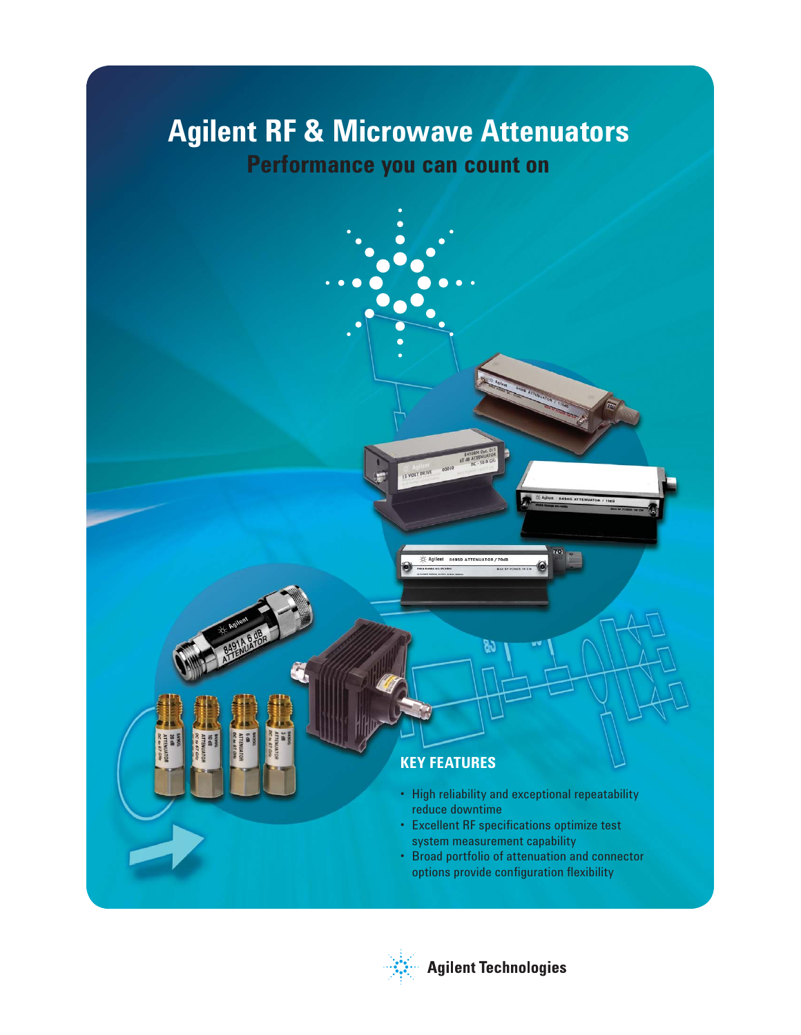# **Agilent RF & Microwave Attenuators**

## **Performance you can count on**



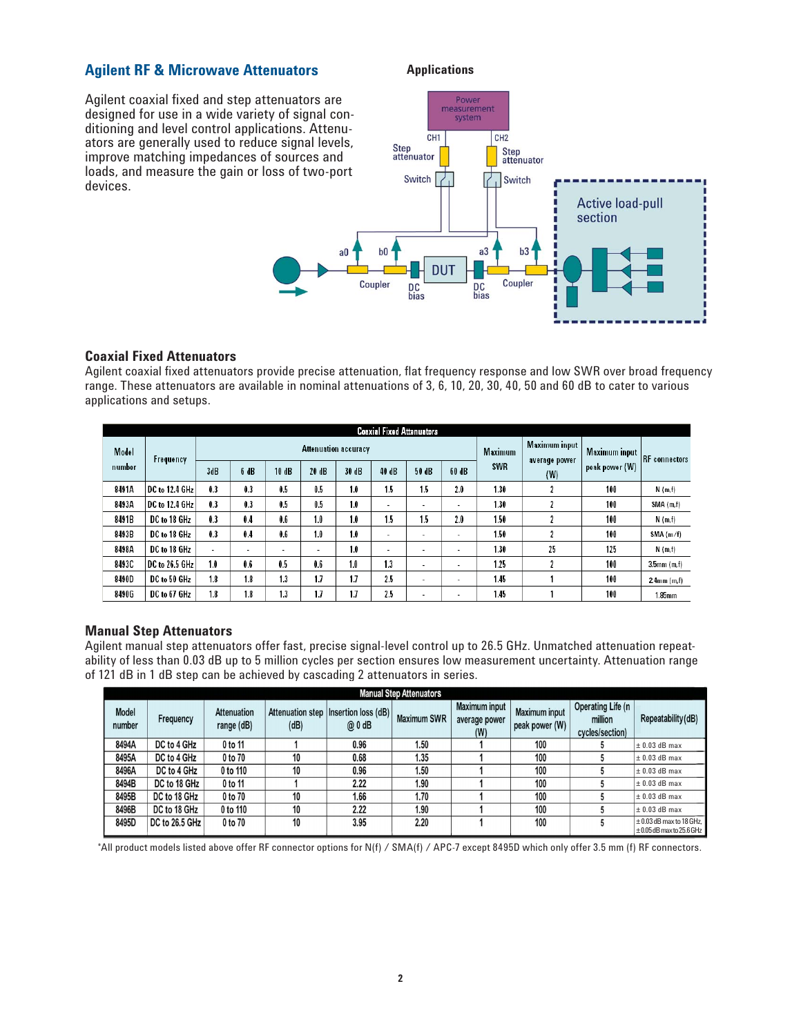#### **Agilent RF & Microwave Attenuators**

Agilent coaxial fixed and step attenuators are designed for use in a wide variety of signal conditioning and level control applications. Attenuators are generally used to reduce signal levels, improve matching impedances of sources and loads, and measure the gain or loss of two-port devices.

#### **Applications**



#### **Coaxial Fixed Attenuators**

Agilent coaxial fixed attenuators provide precise attenuation, flat frequency response and low SWR over broad frequency range. These attenuators are available in nominal attenuations of 3, 6, 10, 20, 30, 40, 50 and 60 dB to cater to various applications and setups.

|        | <b>Coaxial Fixed Attenuators</b> |                             |                |       |                |       |                          |       |                          |                                |               |                      |                  |
|--------|----------------------------------|-----------------------------|----------------|-------|----------------|-------|--------------------------|-------|--------------------------|--------------------------------|---------------|----------------------|------------------|
| Model  | Frequency                        | <b>Attenuation accuracy</b> |                |       |                |       |                          |       | <b>Maximum</b>           | Maximum input<br>average power | Maximum input | <b>RF</b> connectors |                  |
| number |                                  | 3dB                         | 6 dB           | 10 dB | 20 dB          | 30 dB | 40 dB                    | 50 dB | 60 dB                    | <b>SWR</b>                     | (W)           | peak power (W)       |                  |
| 8491A  | DC to 12.4 GHz                   | 0.3                         | 0.3            | 0.5   | 0.5            | 1.0   | 1.5                      | 1.5   | 2.0                      | 1.30                           |               | 100                  | N(m,f)           |
| 8493A  | DC to 12.4 GHz                   | 0.3                         | 0.3            | 0.5   | 0.5            | 1.0   | $\overline{\phantom{a}}$ | ۰     | $\sim$                   | 1.30                           |               | 100                  | SMA (m,f)        |
| 8491B  | DC to 18 GHz                     | 0.3                         | 0.4            | 0.6   | 1.0            | 1.0   | 1.5                      | 1.5   | 2.0                      | 1.50                           |               | 100                  | N(m,f)           |
| 8493B  | DC to 18 GHz                     | 0.3                         | 0.4            | 0.6   | 1.0            | 1.0   | $\overline{\phantom{a}}$ | ۰     | ۰                        | 1.50                           |               | 100                  | SMA(m/f)         |
| 8498A  | DC to 18 GHz                     | $\overline{\phantom{0}}$    | $\blacksquare$ | ۰     | $\blacksquare$ | 1.0   | $\overline{\phantom{a}}$ | ۰     | $\overline{\phantom{a}}$ | 1.30                           | 25            | 125                  | N(m,f)           |
| 8493C  | DC to 26.5 GHz                   | 1.0                         | 0.6            | 0.5   | 0.6            | 1.0   | 1.3                      | ٠     | $\overline{\phantom{a}}$ | 1 25                           |               | 100                  | $3.5$ mm $(m,f)$ |
| 8490D  | DC to 50 GHz                     | 1.8                         | 1.8            | 1.3   | 1.7            | 1.7   | 2.5                      | ٠     | $\overline{\phantom{a}}$ | 1.45                           |               | 100                  | 24mm (m,f)       |
| 8490G  | DC to 67 GHz                     | 1.8                         | 1.8            | 1.3   | 1.7            | 1.7   | 2.5                      | ٠     | $\overline{\phantom{a}}$ | 1.45                           |               | 100                  | 1.85mm           |

#### **Manual Step Attenuators**

Agilent manual step attenuators offer fast, precise signal-level control up to 26.5 GHz. Unmatched attenuation repeatability of less than 0.03 dB up to 5 million cycles per section ensures low measurement uncertainty. Attenuation range of 121 dB in 1 dB step can be achieved by cascading 2 attenuators in series.

| <b>Manual Step Attenuators</b> |                |                                  |      |                                                  |                    |                                              |                                        |                                                        |                                                               |
|--------------------------------|----------------|----------------------------------|------|--------------------------------------------------|--------------------|----------------------------------------------|----------------------------------------|--------------------------------------------------------|---------------------------------------------------------------|
| <b>Model</b><br>number         | Frequency      | <b>Attenuation</b><br>range (dB) | (dB) | Attenuation step   Insertion loss (dB)  <br>@0dB | <b>Maximum SWR</b> | <b>Maximum input</b><br>average power<br>(W) | <b>Maximum input</b><br>peak power (W) | <b>Operating Life (n</b><br>million<br>cycles/section) | Repeatability (dB)                                            |
| 8494A                          | DC to 4 GHz    | 0 to 11                          |      | 0.96                                             | 1.50               |                                              | 100                                    |                                                        | $\pm$ 0.03 dB max                                             |
| 8495A                          | DC to 4 GHz    | 0 to 70                          | 10   | 0.68                                             | 1.35               |                                              | 100                                    |                                                        | $\pm$ 0.03 dB max                                             |
| 8496A                          | DC to 4 GHz    | 0 to 110                         | 10   | 0.96                                             | 1.50               |                                              | 100                                    |                                                        | $\pm$ 0.03 dB max                                             |
| 8494B                          | DC to 18 GHz   | 0 to 11                          |      | 2.22                                             | 1.90               |                                              | 100                                    |                                                        | $\pm$ 0.03 dB max                                             |
| 8495B                          | DC to 18 GHz   | 0 to 70                          | 10   | 1.66                                             | 1.70               |                                              | 100                                    |                                                        | $\pm$ 0.03 dB max                                             |
| 8496B                          | DC to 18 GHz   | 0 to 110                         | 10   | 2.22                                             | 1.90               |                                              | 100                                    |                                                        | $\pm$ 0.03 dB max                                             |
| 8495D                          | DC to 26.5 GHz | 0 to 70                          | 10   | 3.95                                             | 2.20               |                                              | 100                                    |                                                        | $\pm 0.03$ dB max to 18 GHz,<br>$\pm 0.05$ dB max to 25.6 GHz |

\*All product models listed above offer RF connector options for N(f) / SMA(f) / APC-7 except 8495D which only offer 3.5 mm (f) RF connectors.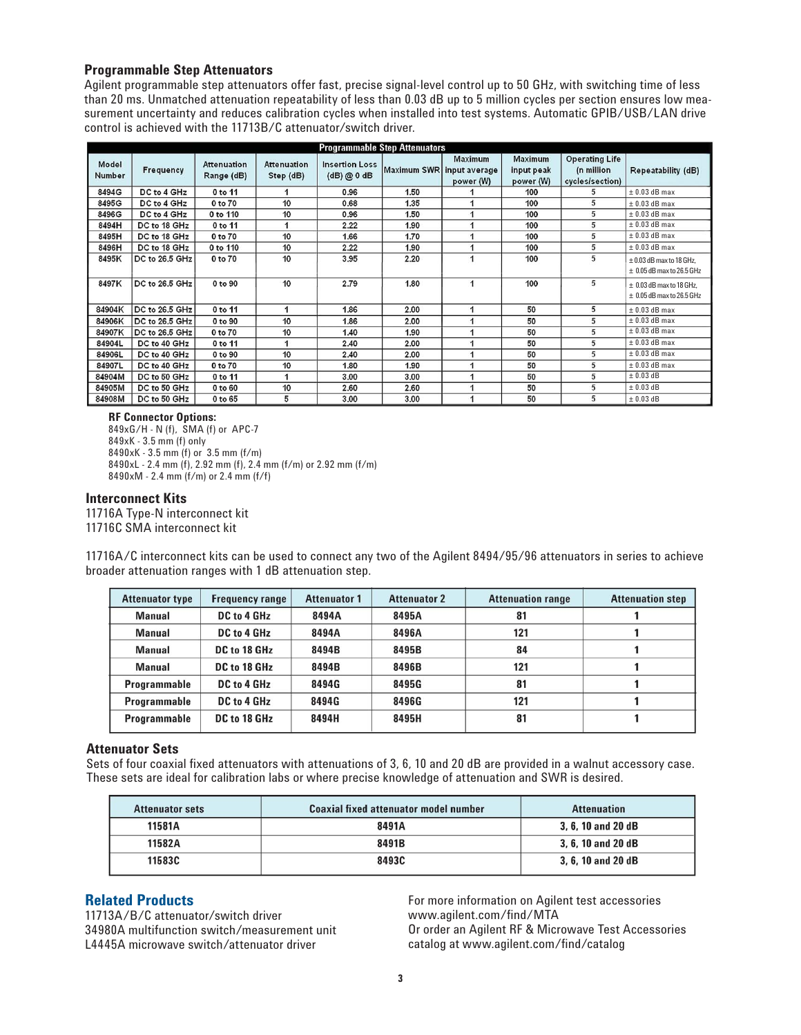#### **Programmable Step Attenuators**

Agilent programmable step attenuators offer fast, precise signal-level control up to 50 GHz, with switching time of less than 20 ms. Unmatched attenuation repeatability of less than 0.03 dB up to 5 million cycles per section ensures low measurement uncertainty and reduces calibration cycles when installed into test systems. Automatic GPIB/USB/LAN drive control is achieved with the 11713B/C attenuator/switch driver.

| <b>Programmable Step Attenuators</b> |                |                           |                          |                                      |                           |                             |                                           |                                                        |                                                               |
|--------------------------------------|----------------|---------------------------|--------------------------|--------------------------------------|---------------------------|-----------------------------|-------------------------------------------|--------------------------------------------------------|---------------------------------------------------------------|
| Model<br><b>Number</b>               | Frequency      | Attenuation<br>Range (dB) | Attenuation<br>Step (dB) | <b>Insertion Loss</b><br>(dB) @ 0 dB | Maximum SWR input average | <b>Maximum</b><br>power (W) | <b>Maximum</b><br>input peak<br>power (W) | <b>Operating Life</b><br>(n million<br>cycles/section) | Repeatability (dB)                                            |
| 8494G                                | DC to 4 GHz    | 0 to 11                   |                          | 0.96                                 | 1.50                      |                             | 100                                       |                                                        | $± 0.03$ dB max                                               |
| 8495G                                | DC to 4 GHz    | 0 to 70                   | 10                       | 0.68                                 | 1.35                      |                             | 100                                       | 5                                                      | $±$ 0.03 dB max                                               |
| 8496G                                | DC to 4 GHz    | 0 to 110                  | 10                       | 0.96                                 | 1.50                      |                             | 100                                       | 5                                                      | $±$ 0.03 dB max                                               |
| 8494H                                | DC to 18 GHz   | 0 to 11                   |                          | 2.22                                 | 1.90                      | 1                           | 100                                       | 5                                                      | $±$ 0.03 dB max                                               |
| 8495H                                | DC to 18 GHz   | 0 to 70                   | 10                       | 1.66                                 | 1.70                      |                             | 100                                       | 5                                                      | $±$ 0.03 dB max                                               |
| 8496H                                | DC to 18 GHz   | 0 to 110                  | 10                       | 2.22                                 | 1.90                      |                             | 100                                       | 5                                                      | $\pm$ 0.03 dB max                                             |
| 8495K                                | DC to 26.5 GHz | 0 to 70                   | 10                       | 3.95                                 | 2.20                      |                             | 100                                       | 5                                                      | $\pm$ 0.03 dB max to 18 GHz.<br>$\pm$ 0.05 dB max to 26.5 GHz |
| 8497K                                | DC to 26.5 GHz | 0 to 90                   | 10                       | 2.79                                 | 1.80                      | 1                           | 100                                       | 5                                                      | $\pm$ 0.03 dB max to 18 GHz.<br>$\pm$ 0.05 dB max to 26.5 GHz |
| 84904K                               | DC to 26.5 GHz | 0 to 11                   |                          | 1.86                                 | 2.00                      | 1                           | 50                                        | 5                                                      | $\pm$ 0.03 dB max                                             |
| 84906K                               | DC to 26.5 GHz | 0 to 90                   | 10                       | 1.86                                 | 2.00                      | 1                           | 50                                        | 5                                                      | $\pm$ 0.03 dB max                                             |
| 84907K                               | DC to 26.5 GHz | 0 to 70                   | 10                       | 1.40                                 | 1.90                      |                             | 50                                        | 5                                                      | $\pm$ 0.03 dB max                                             |
| 84904L                               | DC to 40 GHz   | 0 to 11                   |                          | 2.40                                 | 2.00                      | 4                           | 50                                        | 5                                                      | $± 0.03$ dB max                                               |
| 84906L                               | DC to 40 GHz   | 0 to 90                   | 10                       | 2.40                                 | 2.00                      | 1                           | 50                                        | 5                                                      | $\pm$ 0.03 dB max                                             |
| 84907L                               | DC to 40 GHz   | 0 to 70                   | 10                       | 1.80                                 | 1.90                      | 1                           | 50                                        | 5                                                      | $\pm$ 0.03 dB max                                             |
| 84904M                               | DC to 50 GHz   | 0 to 11                   |                          | 3.00                                 | 3.00                      | 1                           | 50                                        | 5                                                      | $\pm$ 0.03 dB                                                 |
| 84905M                               | DC to 50 GHz   | 0 to 60                   | 10                       | 2.60                                 | 2.60                      |                             | 50                                        | 5                                                      | $\pm$ 0.03 dB                                                 |
| 84908M                               | DC to 50 GHz   | 0 to 65                   | 5                        | 3.00                                 | 3.00                      |                             | 50                                        | 5                                                      | $\pm$ 0.03 dB                                                 |

#### **RF Connector Options:**

849xG/H - N (f), SMA (f) or APC-7 849xK - 3.5 mm (f) only 8490xK - 3.5 mm (f) or 3.5 mm (f/m) 8490xL - 2.4 mm (f), 2.92 mm (f), 2.4 mm (f/m) or 2.92 mm (f/m) 8490xM - 2.4 mm (f/m) or 2.4 mm (f/f)

#### **Interconnect Kits**

11716A Type-N interconnect kit 11716C SMA interconnect kit

11716A/C interconnect kits can be used to connect any two of the Agilent 8494/95/96 attenuators in series to achieve broader attenuation ranges with 1 dB attenuation step.

| <b>Attenuator type</b> | <b>Frequency range</b> | <b>Attenuator 1</b> | <b>Attenuator 2</b> | <b>Attenuation range</b> | <b>Attenuation step</b> |
|------------------------|------------------------|---------------------|---------------------|--------------------------|-------------------------|
| <b>Manual</b>          | DC to 4 GHz            | 8494A               | 8495A               | 81                       |                         |
| <b>Manual</b>          | DC to 4 GHz            | 8494A               | 8496A               | 121                      |                         |
| Manual                 | DC to 18 GHz           | 8494B               | 8495B               | 84                       |                         |
| <b>Manual</b>          | DC to 18 GHz           | 8494B               | 8496B               | 121                      |                         |
| Programmable           | DC to 4 GHz            | 8494G               | 8495G               | 81                       |                         |
| Programmable           | DC to 4 GHz            | 8494G               | 8496G               | 121                      |                         |
| Programmable           | DC to 18 GHz           | 8494H               | 8495H               | 81                       |                         |

#### **Attenuator Sets**

Sets of four coaxial fixed attenuators with attenuations of 3, 6, 10 and 20 dB are provided in a walnut accessory case. These sets are ideal for calibration labs or where precise knowledge of attenuation and SWR is desired.

| <b>Attenuator sets</b> | <b>Coaxial fixed attenuator model number</b> | <b>Attenuation</b> |  |
|------------------------|----------------------------------------------|--------------------|--|
| 11581A                 | 8491A                                        | 3, 6, 10 and 20 dB |  |
| 11582A                 | 8491B                                        | 3, 6, 10 and 20 dB |  |
| 11583C                 | 8493C                                        | 3, 6, 10 and 20 dB |  |

#### **Related Products**

11713A/B/C attenuator/switch driver 34980A multifunction switch/measurement unit L4445A microwave switch/attenuator driver

For more information on Agilent test accessories www.agilent.com/find/MTA Or order an Agilent RF & Microwave Test Accessories catalog at www.agilent.com/find/catalog